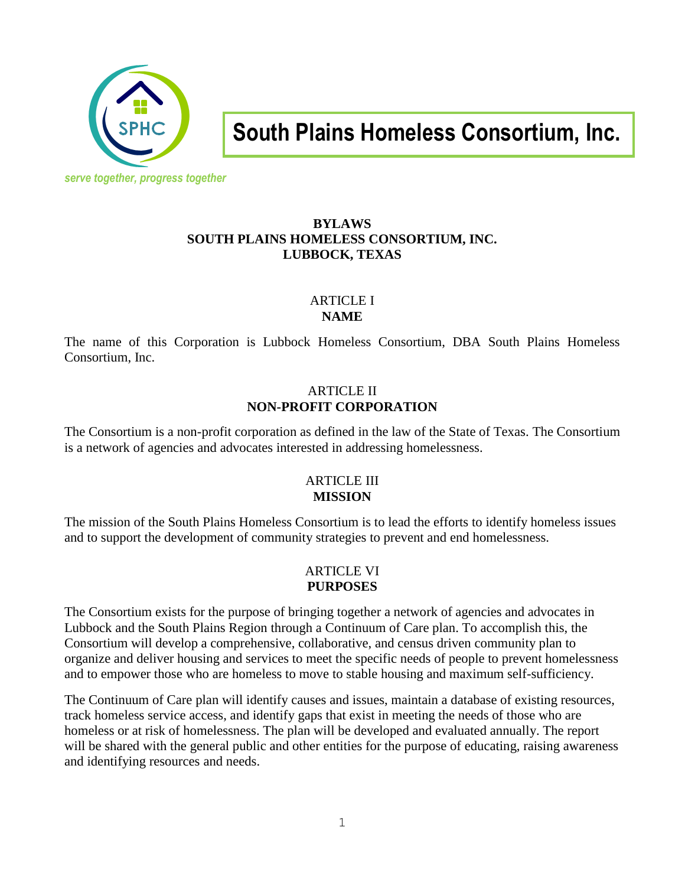

**South Plains Homeless Consortium, Inc.**

#### **BYLAWS SOUTH PLAINS HOMELESS CONSORTIUM, INC. LUBBOCK, TEXAS**

### ARTICLE I **NAME**

The name of this Corporation is Lubbock Homeless Consortium, DBA South Plains Homeless Consortium, Inc.

## ARTICLE II **NON-PROFIT CORPORATION**

The Consortium is a non-profit corporation as defined in the law of the State of Texas. The Consortium is a network of agencies and advocates interested in addressing homelessness.

### ARTICLE III **MISSION**

The mission of the South Plains Homeless Consortium is to lead the efforts to identify homeless issues and to support the development of community strategies to prevent and end homelessness.

#### ARTICLE VI **PURPOSES**

The Consortium exists for the purpose of bringing together a network of agencies and advocates in Lubbock and the South Plains Region through a Continuum of Care plan. To accomplish this, the Consortium will develop a comprehensive, collaborative, and census driven community plan to organize and deliver housing and services to meet the specific needs of people to prevent homelessness and to empower those who are homeless to move to stable housing and maximum self-sufficiency.

The Continuum of Care plan will identify causes and issues, maintain a database of existing resources, track homeless service access, and identify gaps that exist in meeting the needs of those who are homeless or at risk of homelessness. The plan will be developed and evaluated annually. The report will be shared with the general public and other entities for the purpose of educating, raising awareness and identifying resources and needs.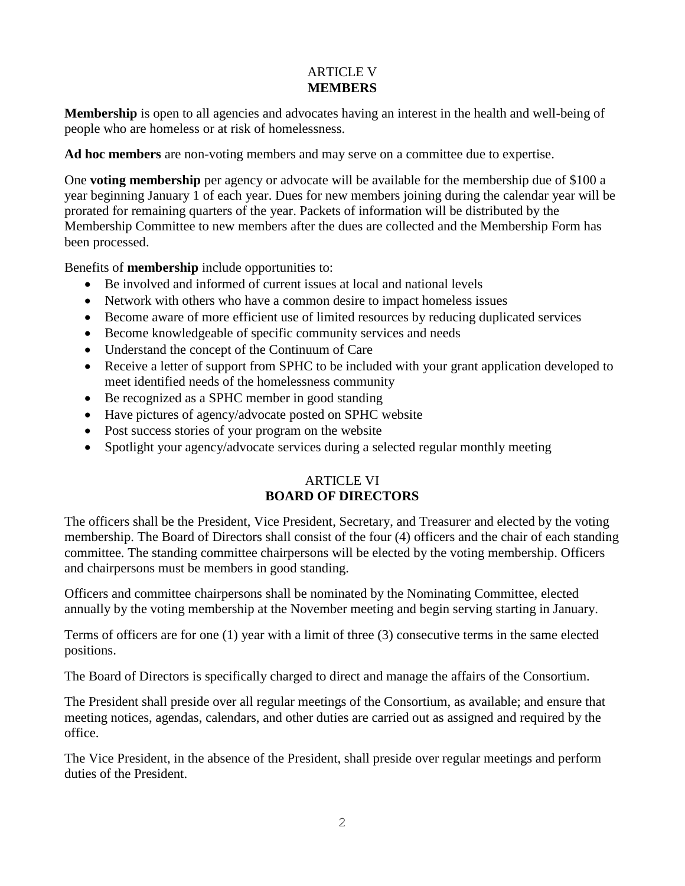### ARTICLE V **MEMBERS**

**Membership** is open to all agencies and advocates having an interest in the health and well-being of people who are homeless or at risk of homelessness.

**Ad hoc members** are non-voting members and may serve on a committee due to expertise.

One **voting membership** per agency or advocate will be available for the membership due of \$100 a year beginning January 1 of each year. Dues for new members joining during the calendar year will be prorated for remaining quarters of the year. Packets of information will be distributed by the Membership Committee to new members after the dues are collected and the Membership Form has been processed.

Benefits of **membership** include opportunities to:

- Be involved and informed of current issues at local and national levels
- Network with others who have a common desire to impact homeless issues
- Become aware of more efficient use of limited resources by reducing duplicated services
- Become knowledgeable of specific community services and needs
- Understand the concept of the Continuum of Care
- Receive a letter of support from SPHC to be included with your grant application developed to meet identified needs of the homelessness community
- Be recognized as a SPHC member in good standing
- Have pictures of agency/advocate posted on SPHC website
- Post success stories of your program on the website
- Spotlight your agency/advocate services during a selected regular monthly meeting

# ARTICLE VI **BOARD OF DIRECTORS**

The officers shall be the President, Vice President, Secretary, and Treasurer and elected by the voting membership. The Board of Directors shall consist of the four (4) officers and the chair of each standing committee. The standing committee chairpersons will be elected by the voting membership. Officers and chairpersons must be members in good standing.

Officers and committee chairpersons shall be nominated by the Nominating Committee, elected annually by the voting membership at the November meeting and begin serving starting in January.

Terms of officers are for one (1) year with a limit of three (3) consecutive terms in the same elected positions.

The Board of Directors is specifically charged to direct and manage the affairs of the Consortium.

The President shall preside over all regular meetings of the Consortium, as available; and ensure that meeting notices, agendas, calendars, and other duties are carried out as assigned and required by the office.

The Vice President, in the absence of the President, shall preside over regular meetings and perform duties of the President.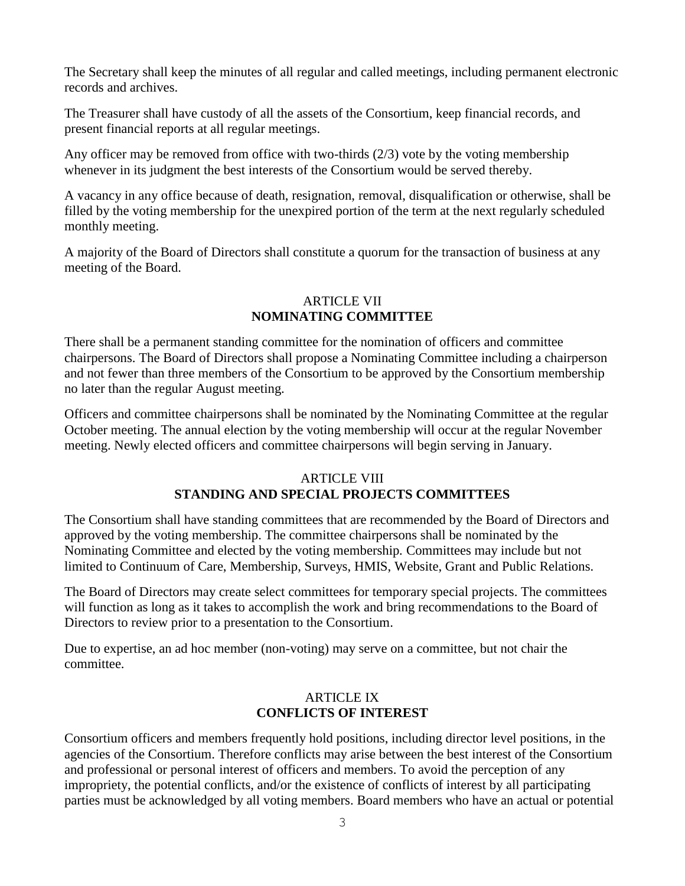The Secretary shall keep the minutes of all regular and called meetings, including permanent electronic records and archives.

The Treasurer shall have custody of all the assets of the Consortium, keep financial records, and present financial reports at all regular meetings.

Any officer may be removed from office with two-thirds  $(2/3)$  vote by the voting membership whenever in its judgment the best interests of the Consortium would be served thereby.

A vacancy in any office because of death, resignation, removal, disqualification or otherwise, shall be filled by the voting membership for the unexpired portion of the term at the next regularly scheduled monthly meeting.

A majority of the Board of Directors shall constitute a quorum for the transaction of business at any meeting of the Board.

#### ARTICLE VII **NOMINATING COMMITTEE**

There shall be a permanent standing committee for the nomination of officers and committee chairpersons. The Board of Directors shall propose a Nominating Committee including a chairperson and not fewer than three members of the Consortium to be approved by the Consortium membership no later than the regular August meeting.

Officers and committee chairpersons shall be nominated by the Nominating Committee at the regular October meeting. The annual election by the voting membership will occur at the regular November meeting. Newly elected officers and committee chairpersons will begin serving in January.

#### ARTICLE VIII **STANDING AND SPECIAL PROJECTS COMMITTEES**

The Consortium shall have standing committees that are recommended by the Board of Directors and approved by the voting membership. The committee chairpersons shall be nominated by the Nominating Committee and elected by the voting membership*.* Committees may include but not limited to Continuum of Care, Membership, Surveys, HMIS, Website, Grant and Public Relations.

The Board of Directors may create select committees for temporary special projects. The committees will function as long as it takes to accomplish the work and bring recommendations to the Board of Directors to review prior to a presentation to the Consortium.

Due to expertise, an ad hoc member (non-voting) may serve on a committee, but not chair the committee.

#### ARTICLE IX **CONFLICTS OF INTEREST**

Consortium officers and members frequently hold positions, including director level positions, in the agencies of the Consortium. Therefore conflicts may arise between the best interest of the Consortium and professional or personal interest of officers and members. To avoid the perception of any impropriety, the potential conflicts, and/or the existence of conflicts of interest by all participating parties must be acknowledged by all voting members. Board members who have an actual or potential